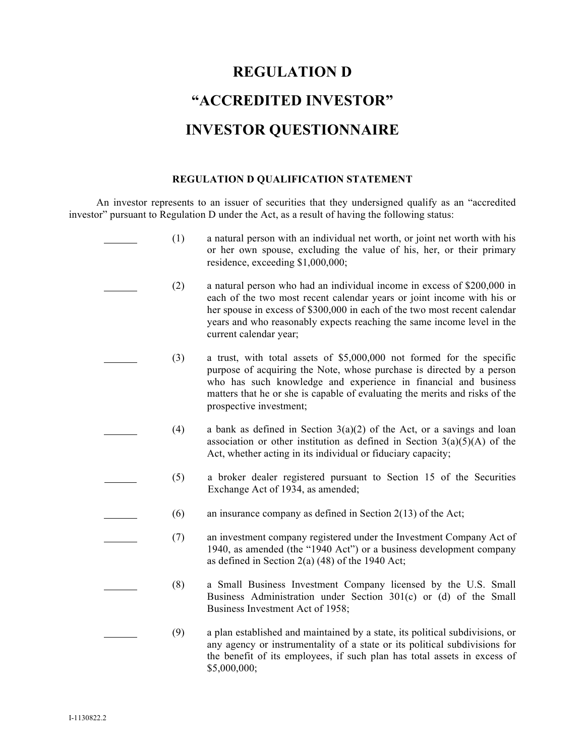# **REGULATION D "ACCREDITED INVESTOR" INVESTOR QUESTIONNAIRE**

### **REGULATION D QUALIFICATION STATEMENT**

An investor represents to an issuer of securities that they undersigned qualify as an "accredited investor" pursuant to Regulation D under the Act, as a result of having the following status:

| (1) | a natural person with an individual net worth, or joint net worth with his<br>or her own spouse, excluding the value of his, her, or their primary<br>residence, exceeding \$1,000,000;                                                                                                                                            |
|-----|------------------------------------------------------------------------------------------------------------------------------------------------------------------------------------------------------------------------------------------------------------------------------------------------------------------------------------|
| (2) | a natural person who had an individual income in excess of \$200,000 in<br>each of the two most recent calendar years or joint income with his or<br>her spouse in excess of \$300,000 in each of the two most recent calendar<br>years and who reasonably expects reaching the same income level in the<br>current calendar year; |
| (3) | a trust, with total assets of \$5,000,000 not formed for the specific<br>purpose of acquiring the Note, whose purchase is directed by a person<br>who has such knowledge and experience in financial and business<br>matters that he or she is capable of evaluating the merits and risks of the<br>prospective investment;        |
| (4) | a bank as defined in Section $3(a)(2)$ of the Act, or a savings and loan<br>association or other institution as defined in Section $3(a)(5)(A)$ of the<br>Act, whether acting in its individual or fiduciary capacity;                                                                                                             |
| (5) | a broker dealer registered pursuant to Section 15 of the Securities<br>Exchange Act of 1934, as amended;                                                                                                                                                                                                                           |
| (6) | an insurance company as defined in Section $2(13)$ of the Act;                                                                                                                                                                                                                                                                     |
| (7) | an investment company registered under the Investment Company Act of<br>1940, as amended (the "1940 Act") or a business development company<br>as defined in Section 2(a) $(48)$ of the 1940 Act;                                                                                                                                  |
| (8) | a Small Business Investment Company licensed by the U.S. Small<br>Business Administration under Section 301(c) or (d) of the Small<br>Business Investment Act of 1958;                                                                                                                                                             |
| (9) | a plan established and maintained by a state, its political subdivisions, or<br>any agency or instrumentality of a state or its political subdivisions for<br>the benefit of its employees, if such plan has total assets in excess of<br>\$5,000,000;                                                                             |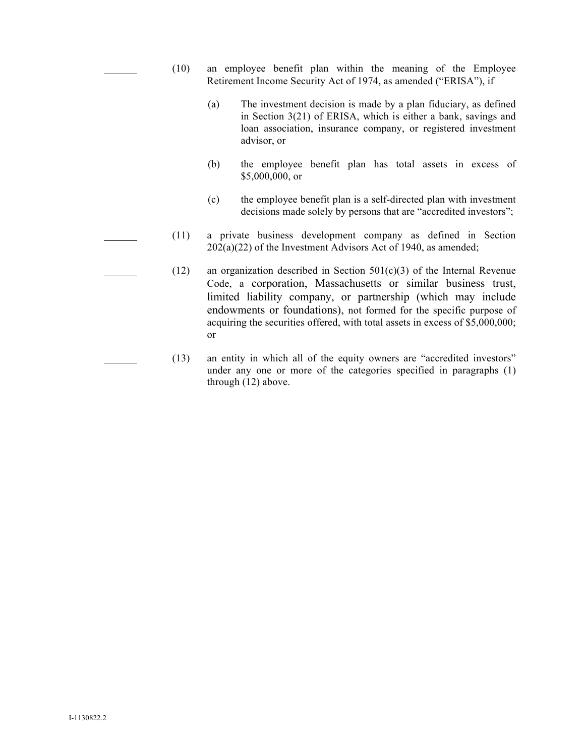- (10) an employee benefit plan within the meaning of the Employee Retirement Income Security Act of 1974, as amended ("ERISA"), if
	- (a) The investment decision is made by a plan fiduciary, as defined in Section 3(21) of ERISA, which is either a bank, savings and loan association, insurance company, or registered investment advisor, or
	- (b) the employee benefit plan has total assets in excess of \$5,000,000, or
	- (c) the employee benefit plan is a self-directed plan with investment decisions made solely by persons that are "accredited investors";
- (11) a private business development company as defined in Section  $202(a)(22)$  of the Investment Advisors Act of 1940, as amended;
- (12) an organization described in Section  $501(c)(3)$  of the Internal Revenue Code, a corporation, Massachusetts or similar business trust, limited liability company, or partnership (which may include endowments or foundations), not formed for the specific purpose of acquiring the securities offered, with total assets in excess of \$5,000,000; or
- (13) an entity in which all of the equity owners are "accredited investors" under any one or more of the categories specified in paragraphs (1) through (12) above.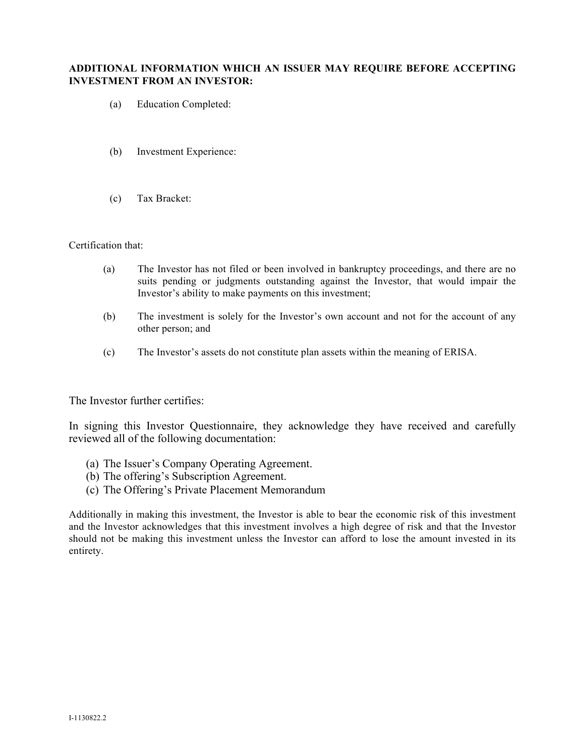#### **ADDITIONAL INFORMATION WHICH AN ISSUER MAY REQUIRE BEFORE ACCEPTING INVESTMENT FROM AN INVESTOR:**

- (a) Education Completed:
- (b) Investment Experience:
- (c) Tax Bracket:

#### Certification that:

- (a) The Investor has not filed or been involved in bankruptcy proceedings, and there are no suits pending or judgments outstanding against the Investor, that would impair the Investor's ability to make payments on this investment;
- (b) The investment is solely for the Investor's own account and not for the account of any other person; and
- (c) The Investor's assets do not constitute plan assets within the meaning of ERISA.

The Investor further certifies:

In signing this Investor Questionnaire, they acknowledge they have received and carefully reviewed all of the following documentation:

- (a) The Issuer's Company Operating Agreement.
- (b) The offering's Subscription Agreement.
- (c) The Offering's Private Placement Memorandum

Additionally in making this investment, the Investor is able to bear the economic risk of this investment and the Investor acknowledges that this investment involves a high degree of risk and that the Investor should not be making this investment unless the Investor can afford to lose the amount invested in its entirety.